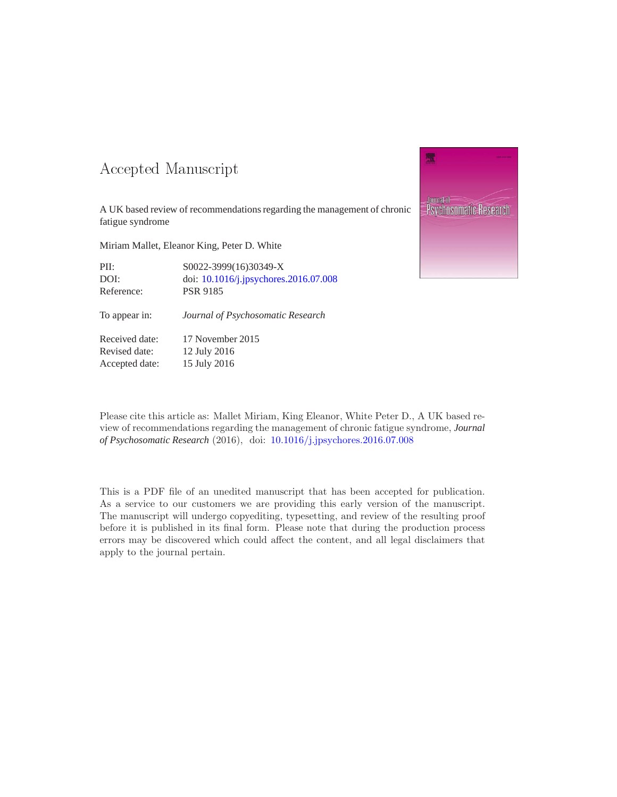### -- -

A UK based review of recommendations regarding the management of chronic fatigue syndrome

Miriam Mallet, Eleanor King, Peter D. White

| PII:       | S0022-3999(16)30349-X                 |
|------------|---------------------------------------|
| DOI:       | doi: 10.1016/j.jpsychores.2016.07.008 |
| Reference: | <b>PSR 9185</b>                       |

To appear in: *Journal of Psychosomatic Research*

Received date: 17 November 2015 Revised date: 12 July 2016 Accepted date: 15 July 2016

Journal **Psychosomatic Research** 

Please cite this article as: Mallet Miriam, King Eleanor, White Peter D., A UK based review of recommendations regarding the management of chronic fatigue syndrome, *Journal of Psychosomatic Research* (2016), doi: [10.1016/j.jpsychores.2016.07.008](http://dx.doi.org/10.1016/j.jpsychores.2016.07.008)

This is a PDF file of an unedited manuscript that has been accepted for publication. As a service to our customers we are providing this early version of the manuscript. The manuscript will undergo copyediting, typesetting, and review of the resulting proof before it is published in its final form. Please note that during the production process errors may be discovered which could affect the content, and all legal disclaimers that apply to the journal pertain.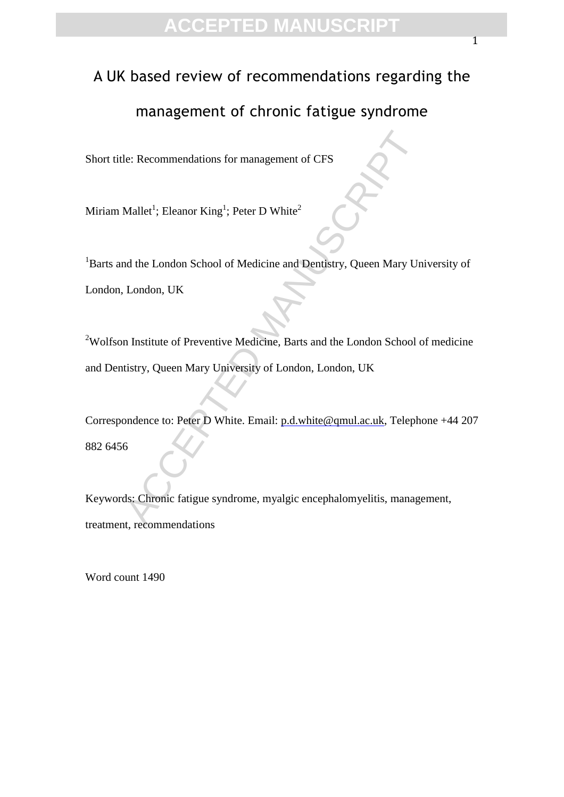### A UK based review of recommendations regarding the

### management of chronic fatigue syndrome

Short title: Recommendations for management of CFS

Miriam Mallet $^1$ ; Eleanor King $^1$ ; Peter D White $^2$ 

le: Recommendations for management of CFS<br>
Mallet<sup>1</sup>; Eleanor King<sup>1</sup>; Peter D White<sup>2</sup><br>
Add the London School of Medicine and Dentistry, Queen Mary Un<br>
London, UK<br>
In Institute of Preventive Medicine, Barts and the London <sup>1</sup>Barts and the London School of Medicine and Dentistry, Queen Mary University of London, London, UK

<sup>2</sup>Wolfson Institute of Preventive Medicine, Barts and the London School of medicine and Dentistry, Queen Mary University of London, London, UK

Correspondence to: Peter D White. Email: p.d.white@qmul.ac.uk, Telephone +44 207 882 6456

Keywords: Chronic fatigue syndrome, myalgic encephalomyelitis, management, treatment, recommendations

Word count 1490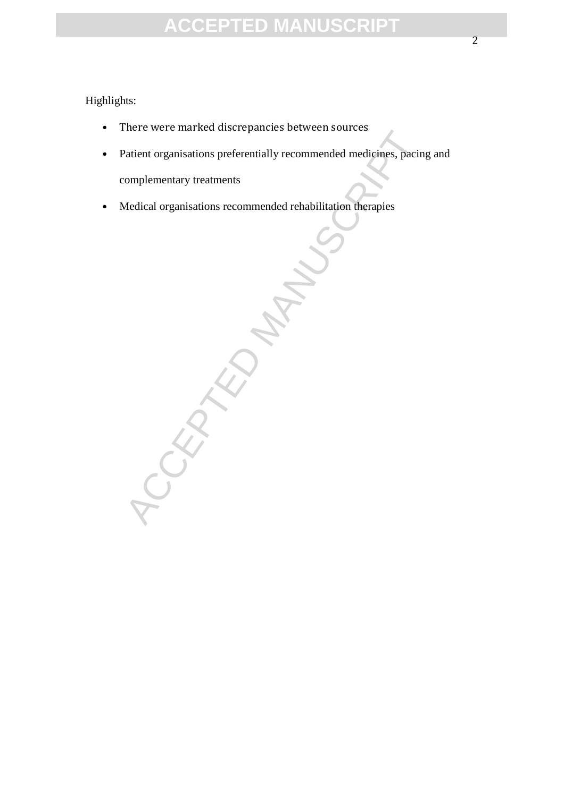#### Highlights:

- There were marked discrepancies between sources
- Patient organisations preferentially recommended medicines, pacing and complementary treatments
- Medical organisations recommended rehabilitation therapies

CCEPTED M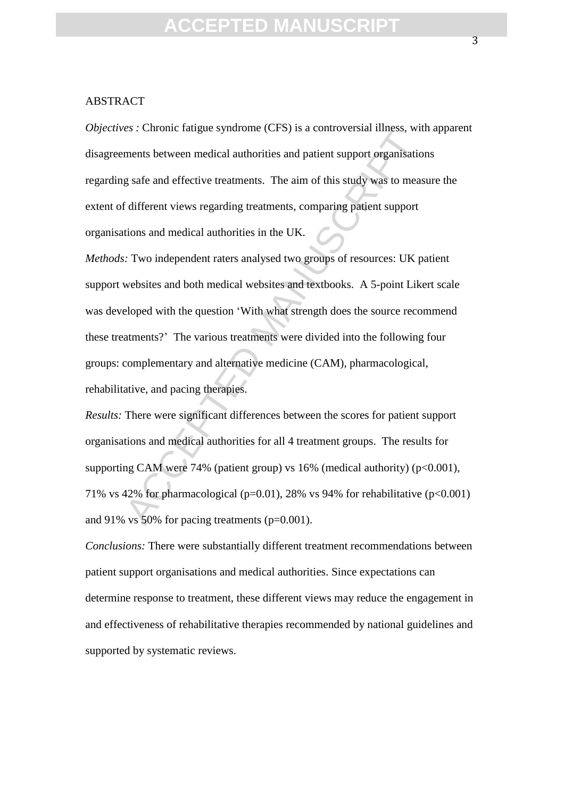#### ABSTRACT

*Objectives :* Chronic fatigue syndrome (CFS) is a controversial illness, with apparent disagreements between medical authorities and patient support organisations regarding safe and effective treatments. The aim of this study was to measure the extent of different views regarding treatments, comparing patient support organisations and medical authorities in the UK.

EVALUATE Interaction and antiomization of this study was to mean<br>and the state and effective treatments. The aim of this study was to mean<br>different views regarding treatments, comparing patient support<br>different views re *Methods:* Two independent raters analysed two groups of resources: UK patient support websites and both medical websites and textbooks. A 5-point Likert scale was developed with the question 'With what strength does the source recommend these treatments?' The various treatments were divided into the following four groups: complementary and alternative medicine (CAM), pharmacological, rehabilitative, and pacing therapies.

*Results:* There were significant differences between the scores for patient support organisations and medical authorities for all 4 treatment groups. The results for supporting CAM were 74% (patient group) vs  $16%$  (medical authority) (p<0.001), 71% vs 42% for pharmacological (p=0.01), 28% vs 94% for rehabilitative (p<0.001) and 91% vs 50% for pacing treatments (p=0.001).

*Conclusions:* There were substantially different treatment recommendations between patient support organisations and medical authorities. Since expectations can determine response to treatment, these different views may reduce the engagement in and effectiveness of rehabilitative therapies recommended by national guidelines and supported by systematic reviews.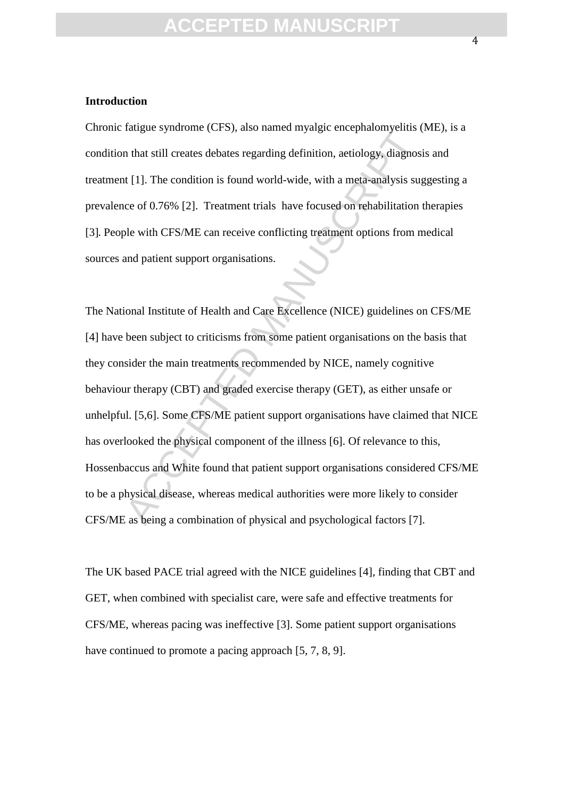#### **Introduction**

Chronic fatigue syndrome (CFS), also named myalgic encephalomyelitis (ME), is a condition that still creates debates regarding definition, aetiology, diagnosis and treatment [1]. The condition is found world-wide, with a meta-analysis suggesting a prevalence of 0.76% [2]. Treatment trials have focused on rehabilitation therapies [3]. People with CFS/ME can receive conflicting treatment options from medical sources and patient support organisations.

Early of starting (CFD), and named in Jugge enerphanony entity<br>that still creates debates regarding definition, aetiology, diagnosis<br>te [1]. The condition is found world-wide, with a meta-analysis sug<br>ce of 0.76% [2]. Trea The National Institute of Health and Care Excellence (NICE) guidelines on CFS/ME [4] have been subject to criticisms from some patient organisations on the basis that they consider the main treatments recommended by NICE, namely cognitive behaviour therapy (CBT) and graded exercise therapy (GET), as either unsafe or unhelpful. [5,6]. Some CFS/ME patient support organisations have claimed that NICE has overlooked the physical component of the illness [6]. Of relevance to this, Hossenbaccus and White found that patient support organisations considered CFS/ME to be a physical disease, whereas medical authorities were more likely to consider CFS/ME as being a combination of physical and psychological factors [7].

The UK based PACE trial agreed with the NICE guidelines [4], finding that CBT and GET, when combined with specialist care, were safe and effective treatments for CFS/ME, whereas pacing was ineffective [3]. Some patient support organisations have continued to promote a pacing approach [5, 7, 8, 9].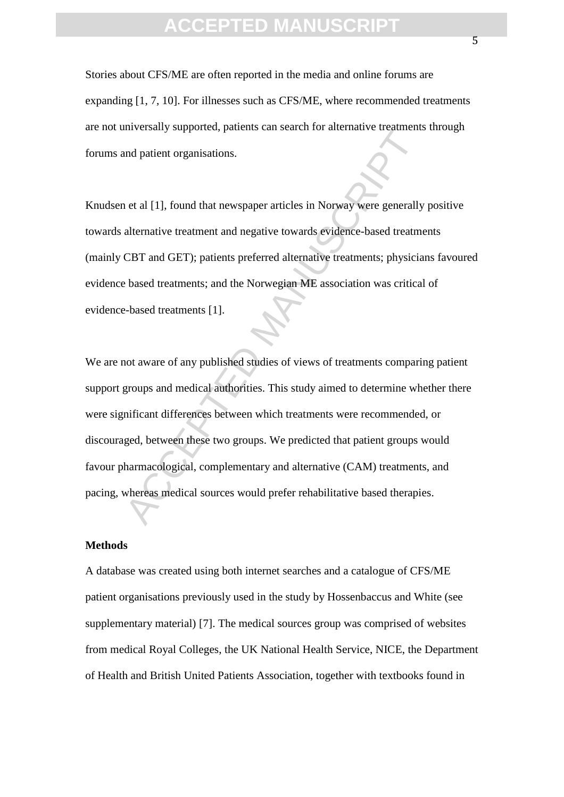Stories about CFS/ME are often reported in the media and online forums are expanding [1, 7, 10]. For illnesses such as CFS/ME, where recommended treatments are not universally supported, patients can search for alternative treatments through forums and patient organisations.

Knudsen et al [1], found that newspaper articles in Norway were generally positive towards alternative treatment and negative towards evidence-based treatments (mainly CBT and GET); patients preferred alternative treatments; physicians favoured evidence based treatments; and the Norwegian ME association was critical of evidence-based treatments [1].

The Collection particular or an order of anti-mate of anti-mate of anti-mate of anti-mate of any and patient organisations.<br>
The effect of an externe that are space of the space of the anti-mate of the anti-mate treatment We are not aware of any published studies of views of treatments comparing patient support groups and medical authorities. This study aimed to determine whether there were significant differences between which treatments were recommended, or discouraged, between these two groups. We predicted that patient groups would favour pharmacological, complementary and alternative (CAM) treatments, and pacing, whereas medical sources would prefer rehabilitative based therapies.

#### **Methods**

A database was created using both internet searches and a catalogue of CFS/ME patient organisations previously used in the study by Hossenbaccus and White (see supplementary material) [7]. The medical sources group was comprised of websites from medical Royal Colleges, the UK National Health Service, NICE, the Department of Health and British United Patients Association, together with textbooks found in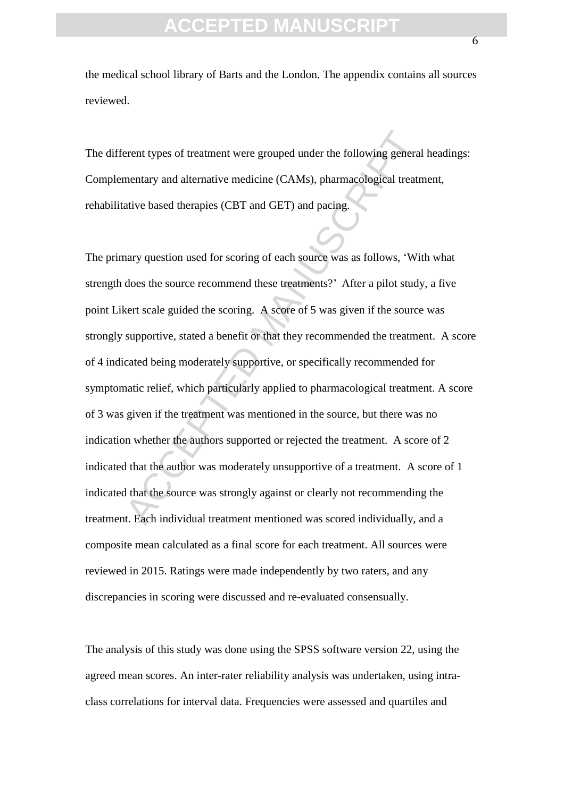the medical school library of Barts and the London. The appendix contains all sources reviewed.

The different types of treatment were grouped under the following general headings: Complementary and alternative medicine (CAMs), pharmacological treatment, rehabilitative based therapies (CBT and GET) and pacing.

erent types of treatment were grouped under the following general<br>mentary and alternative medicine (CAMs), pharmacological treatn<br>ative based therapies (CBT and GET) and pacing.<br>hary question used for scoring of each sourc The primary question used for scoring of each source was as follows, 'With what strength does the source recommend these treatments?' After a pilot study, a five point Likert scale guided the scoring. A score of 5 was given if the source was strongly supportive, stated a benefit or that they recommended the treatment. A score of 4 indicated being moderately supportive, or specifically recommended for symptomatic relief, which particularly applied to pharmacological treatment. A score of 3 was given if the treatment was mentioned in the source, but there was no indication whether the authors supported or rejected the treatment. A score of 2 indicated that the author was moderately unsupportive of a treatment. A score of 1 indicated that the source was strongly against or clearly not recommending the treatment. Each individual treatment mentioned was scored individually, and a composite mean calculated as a final score for each treatment. All sources were reviewed in 2015. Ratings were made independently by two raters, and any discrepancies in scoring were discussed and re-evaluated consensually.

The analysis of this study was done using the SPSS software version 22, using the agreed mean scores. An inter-rater reliability analysis was undertaken, using intraclass correlations for interval data. Frequencies were assessed and quartiles and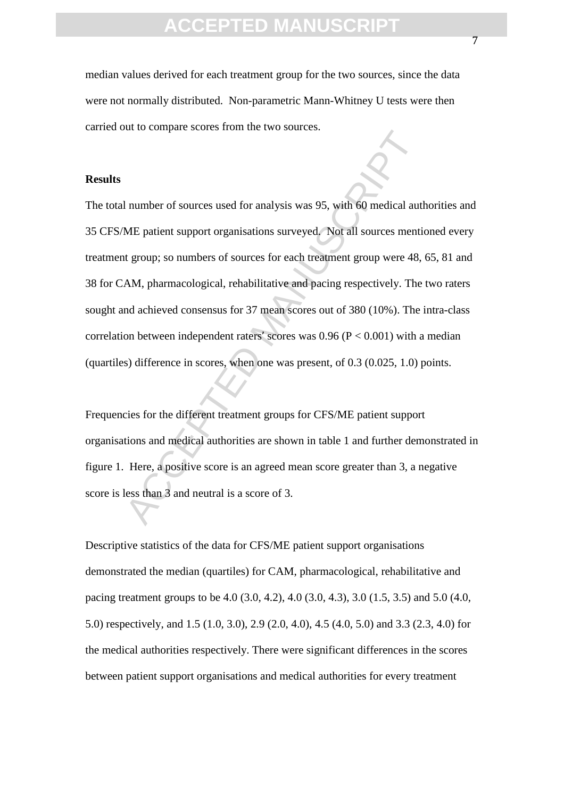median values derived for each treatment group for the two sources, since the data were not normally distributed. Non-parametric Mann-Whitney U tests were then carried out to compare scores from the two sources.

#### **Results**

Acceleration and the solution of sources used for analysis was 95, with 60 medical aut<br>ME patient support organisations surveyed. Not all sources mentit<br>t group; so numbers of sources for each treatment group were 48,<br>AM, The total number of sources used for analysis was 95, with 60 medical authorities and 35 CFS/ME patient support organisations surveyed. Not all sources mentioned every treatment group; so numbers of sources for each treatment group were 48, 65, 81 and 38 for CAM, pharmacological, rehabilitative and pacing respectively. The two raters sought and achieved consensus for 37 mean scores out of 380 (10%). The intra-class correlation between independent raters' scores was  $0.96$  ( $P < 0.001$ ) with a median (quartiles) difference in scores, when one was present, of 0.3 (0.025, 1.0) points.

Frequencies for the different treatment groups for CFS/ME patient support organisations and medical authorities are shown in table 1 and further demonstrated in figure 1. Here, a positive score is an agreed mean score greater than 3, a negative score is less than 3 and neutral is a score of 3.

Descriptive statistics of the data for CFS/ME patient support organisations demonstrated the median (quartiles) for CAM, pharmacological, rehabilitative and pacing treatment groups to be 4.0 (3.0, 4.2), 4.0 (3.0, 4.3), 3.0 (1.5, 3.5) and 5.0 (4.0, 5.0) respectively, and 1.5 (1.0, 3.0), 2.9 (2.0, 4.0), 4.5 (4.0, 5.0) and 3.3 (2.3, 4.0) for the medical authorities respectively. There were significant differences in the scores between patient support organisations and medical authorities for every treatment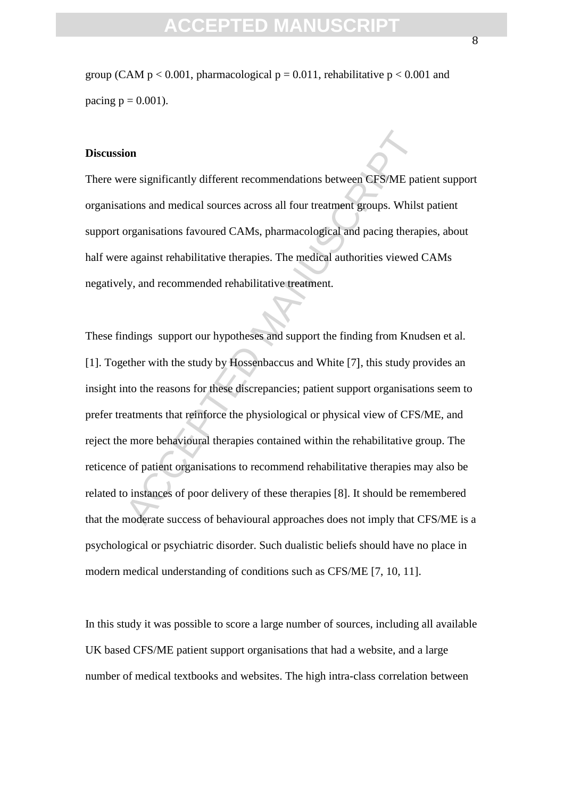group (CAM  $p < 0.001$ , pharmacological  $p = 0.011$ , rehabilitative  $p < 0.001$  and pacing  $p = 0.001$ ).

#### **Discussion**

There were significantly different recommendations between CFS/ME patient support organisations and medical sources across all four treatment groups. Whilst patient support organisations favoured CAMs, pharmacological and pacing therapies, about half were against rehabilitative therapies. The medical authorities viewed CAMs negatively, and recommended rehabilitative treatment.

For significantly different recommendations between CFSME pations and medical sources across all four treatment groups. Whilst<br>organisations favoured CAMs, pharmacological and pacing therap<br>against rehabilitative therapies These findings support our hypotheses and support the finding from Knudsen et al. [1]. Together with the study by Hossenbaccus and White [7], this study provides an insight into the reasons for these discrepancies; patient support organisations seem to prefer treatments that reinforce the physiological or physical view of CFS/ME, and reject the more behavioural therapies contained within the rehabilitative group. The reticence of patient organisations to recommend rehabilitative therapies may also be related to instances of poor delivery of these therapies [8]. It should be remembered that the moderate success of behavioural approaches does not imply that CFS/ME is a psychological or psychiatric disorder. Such dualistic beliefs should have no place in modern medical understanding of conditions such as CFS/ME [7, 10, 11].

In this study it was possible to score a large number of sources, including all available UK based CFS/ME patient support organisations that had a website, and a large number of medical textbooks and websites. The high intra-class correlation between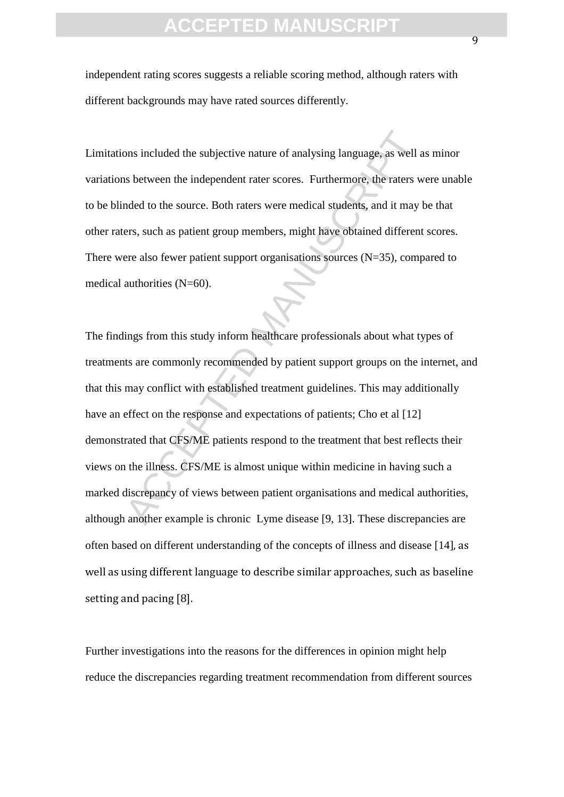independent rating scores suggests a reliable scoring method, although raters with different backgrounds may have rated sources differently.

Limitations included the subjective nature of analysing language, as well as minor variations between the independent rater scores. Furthermore, the raters were unable to be blinded to the source. Both raters were medical students, and it may be that other raters, such as patient group members, might have obtained different scores. There were also fewer patient support organisations sources  $(N=35)$ , compared to medical authorities (N=60).

ons included the subjective nature of analysing language, as well as<br>s between the independent rater scores. Furthermore, the raters w<br>anded to the source. Both raters were medical students, and it may<br>lers, such as patien The findings from this study inform healthcare professionals about what types of treatments are commonly recommended by patient support groups on the internet, and that this may conflict with established treatment guidelines. This may additionally have an effect on the response and expectations of patients; Cho et al [12] demonstrated that CFS/ME patients respond to the treatment that best reflects their views on the illness. CFS/ME is almost unique within medicine in having such a marked discrepancy of views between patient organisations and medical authorities, although another example is chronic Lyme disease [9, 13]. These discrepancies are often based on different understanding of the concepts of illness and disease [14], as well as using different language to describe similar approaches, such as baseline setting and pacing [8].

Further investigations into the reasons for the differences in opinion might help reduce the discrepancies regarding treatment recommendation from different sources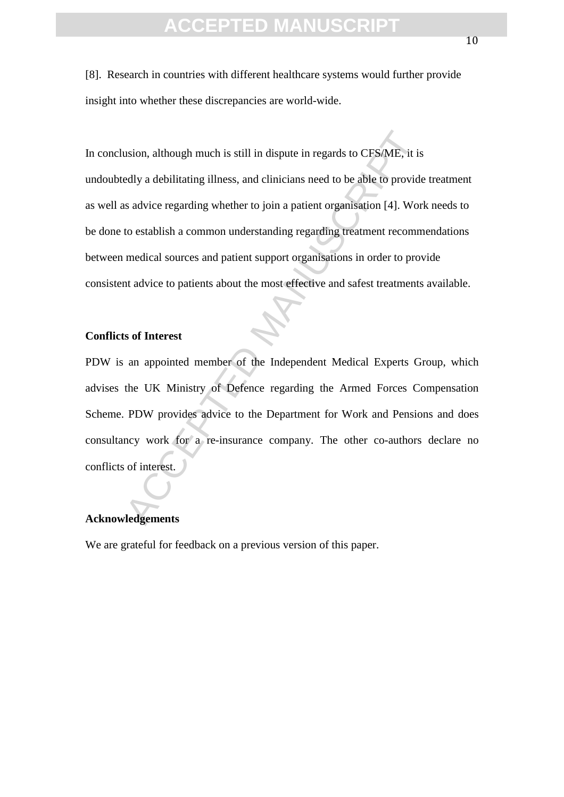[8]. Research in countries with different healthcare systems would further provide insight into whether these discrepancies are world-wide.

usion, although much is still in dispute in regards to CES/ME, it is<br>edly a debilitating illness, and clinicians need to be able to provide<br>s advice regarding whether to join a patient organisation [4]. Wor<br>to establish a In conclusion, although much is still in dispute in regards to CFS/ME, it is undoubtedly a debilitating illness, and clinicians need to be able to provide treatment as well as advice regarding whether to join a patient organisation [4]. Work needs to be done to establish a common understanding regarding treatment recommendations between medical sources and patient support organisations in order to provide consistent advice to patients about the most effective and safest treatments available.

#### **Conflicts of Interest**

PDW is an appointed member of the Independent Medical Experts Group, which advises the UK Ministry of Defence regarding the Armed Forces Compensation Scheme. PDW provides advice to the Department for Work and Pensions and does consultancy work for a re-insurance company. The other co-authors declare no conflicts of interest.

#### **Acknowledgements**

We are grateful for feedback on a previous version of this paper.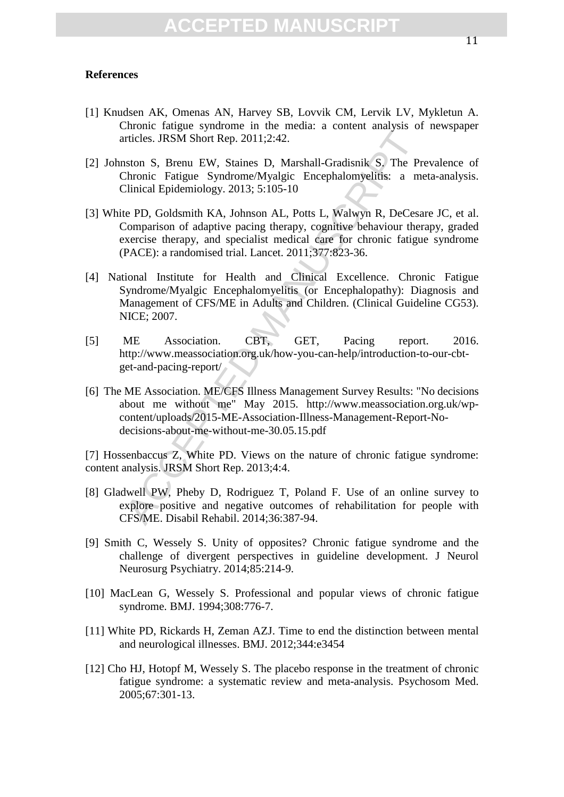#### **References**

- [1] Knudsen AK, Omenas AN, Harvey SB, Lovvik CM, Lervik LV, Mykletun A. Chronic fatigue syndrome in the media: a content analysis of newspaper articles. JRSM Short Rep. 2011;2:42.
- [2] Johnston S, Brenu EW, Staines D, Marshall-Gradisnik S. The Prevalence of Chronic Fatigue Syndrome/Myalgic Encephalomyelitis: a meta-analysis. Clinical Epidemiology. 2013; 5:105-10
- rticles. JRSM Short Rep. 2011;2:42.<br>
atson S, Brenu EW, Staines D, Marshall-Gradisnik S, The Pr<br>
hronic Fatigue Syndrome/Myalgic Encephalomyelitis: a medicinal Epidemiology. 2013; 5:105-10<br>
Le PD, Goldsmith KA, Johnson AL, [3] White PD, Goldsmith KA, Johnson AL, Potts L, Walwyn R, DeCesare JC, et al. Comparison of adaptive pacing therapy, cognitive behaviour therapy, graded exercise therapy, and specialist medical care for chronic fatigue syndrome (PACE): a randomised trial. Lancet. 2011;377:823-36.
- [4] National Institute for Health and Clinical Excellence. Chronic Fatigue Syndrome/Myalgic Encephalomyelitis (or Encephalopathy): Diagnosis and Management of CFS/ME in Adults and Children. (Clinical Guideline CG53). NICE; 2007.
- [5] ME Association. CBT, GET, Pacing report. 2016. http://www.meassociation.org.uk/how-you-can-help/introduction-to-our-cbtget-and-pacing-report/
- [6] The ME Association. ME/CFS Illness Management Survey Results: "No decisions about me without me" May 2015. http://www.meassociation.org.uk/wpcontent/uploads/2015-ME-Association-Illness-Management-Report-Nodecisions-about-me-without-me-30.05.15.pdf

[7] Hossenbaccus Z, White PD. Views on the nature of chronic fatigue syndrome: content analysis. JRSM Short Rep. 2013;4:4.

- [8] Gladwell PW, Pheby D, Rodriguez T, Poland F. Use of an online survey to explore positive and negative outcomes of rehabilitation for people with CFS/ME. Disabil Rehabil. 2014;36:387-94.
- [9] Smith C, Wessely S. Unity of opposites? Chronic fatigue syndrome and the challenge of divergent perspectives in guideline development. J Neurol Neurosurg Psychiatry. 2014;85:214-9.
- [10] MacLean G, Wessely S. Professional and popular views of chronic fatigue syndrome. BMJ. 1994;308:776-7.
- [11] White PD, Rickards H, Zeman AZJ. Time to end the distinction between mental and neurological illnesses. BMJ. 2012;344:e3454
- [12] Cho HJ, Hotopf M, Wessely S. The placebo response in the treatment of chronic fatigue syndrome: a systematic review and meta-analysis. Psychosom Med. 2005;67:301-13.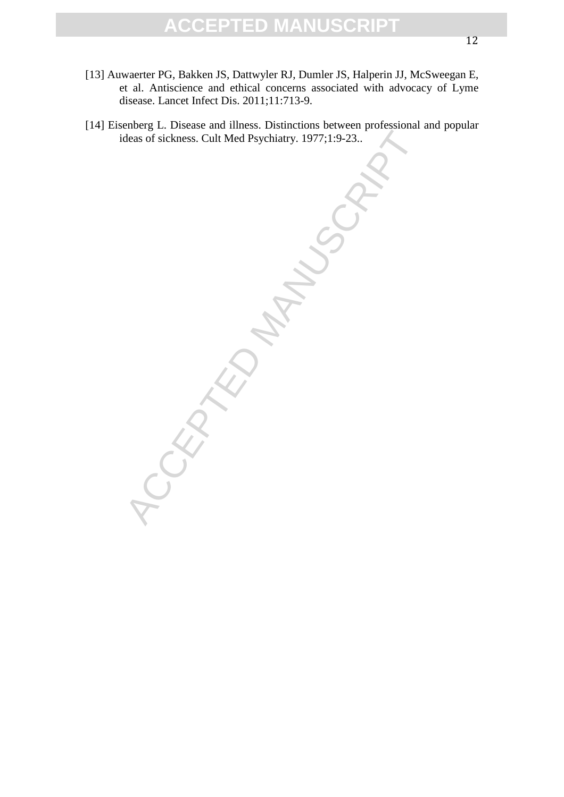- [13] Auwaerter PG, Bakken JS, Dattwyler RJ, Dumler JS, Halperin JJ, McSweegan E, et al. Antiscience and ethical concerns associated with advocacy of Lyme disease. Lancet Infect Dis. 2011;11:713-9.
- [14] Eisenberg L. Disease and illness. Distinctions between professional and popular ideas of sickness. Cult Med Psychiatry. 1977;1:9-23..

ACCEPTED M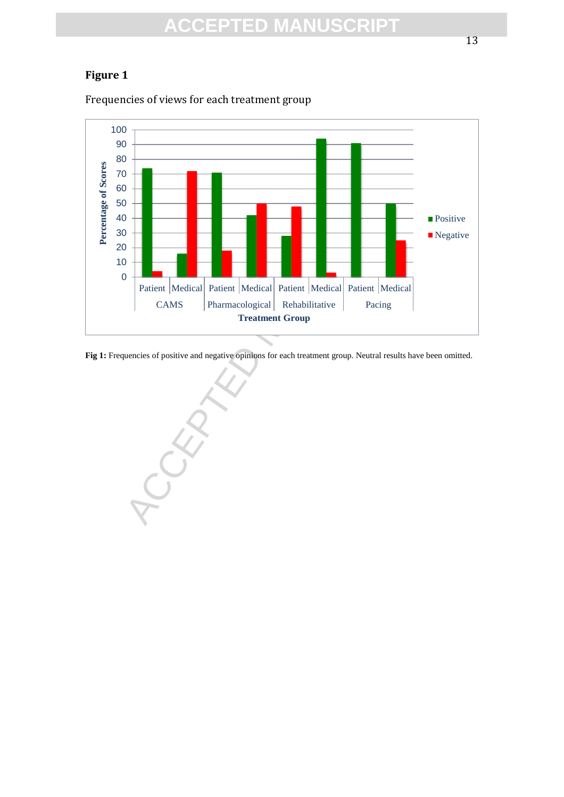#### **Figure 1**

Frequencies of views for each treatment group



**Fig 1:** Frequencies of positive and negative opinions for each treatment group. Neutral results have been omitted.

CAMS Pharmacological Rehabilitative Pacing<br>Treatment Group<br>noise of positive and negative opinions for each treatment group. Neutral res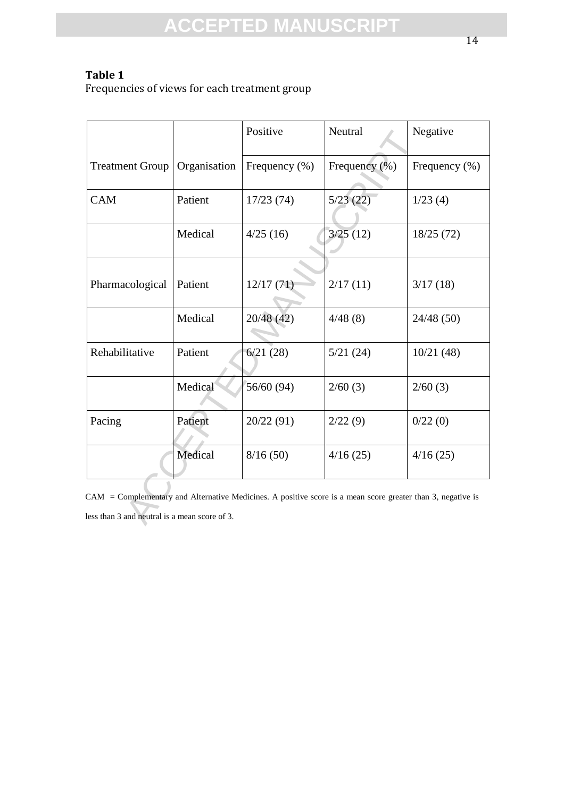#### **Table 1**

Frequencies of views for each treatment group

|                                                                                                                                                              |              | Positive          | Neutral           | Negative          |
|--------------------------------------------------------------------------------------------------------------------------------------------------------------|--------------|-------------------|-------------------|-------------------|
| <b>Treatment Group</b>                                                                                                                                       | Organisation | Frequency $(\% )$ | Frequency $(\% )$ | Frequency $(\% )$ |
| <b>CAM</b>                                                                                                                                                   | Patient      | 17/23(74)         | 5/23(22)          | 1/23(4)           |
|                                                                                                                                                              | Medical      | 4/25(16)          | 3/25(12)          | 18/25(72)         |
| Pharmacological                                                                                                                                              | Patient      | 12/17(71)         | 2/17(11)          | 3/17(18)          |
|                                                                                                                                                              | Medical      | 20/48 (42)        | 4/48(8)           | 24/48(50)         |
| Rehabilitative                                                                                                                                               | Patient      | 6/21(28)          | 5/21(24)          | 10/21(48)         |
|                                                                                                                                                              | Medical      | 56/60 (94)        | 2/60(3)           | 2/60(3)           |
| Pacing                                                                                                                                                       | Patient      | 20/22 (91)        | 2/22(9)           | 0/22(0)           |
|                                                                                                                                                              | Medical      | 8/16(50)          | 4/16(25)          | 4/16(25)          |
| CAM = Complementary and Alternative Medicines. A positive score is a mean score greater than 3, negative is<br>less than 3 and neutral is a mean score of 3. |              |                   |                   |                   |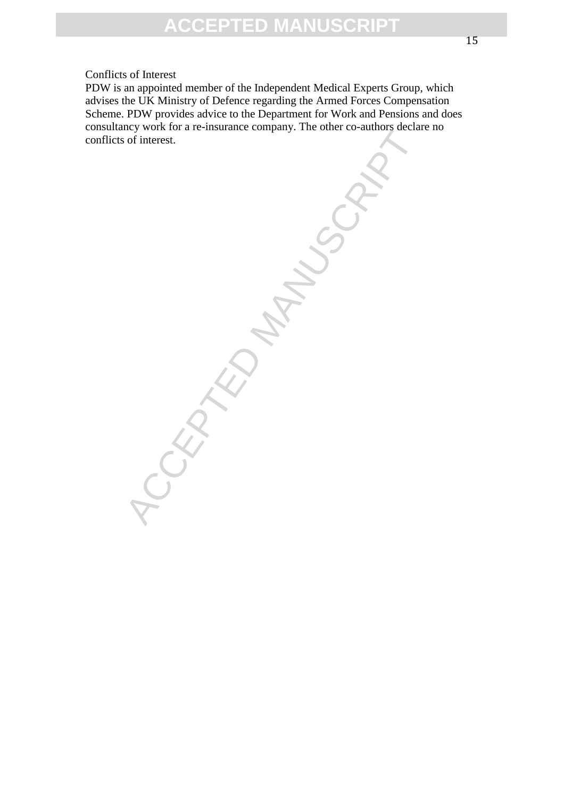#### Conflicts of Interest

PDW is an appointed member of the Independent Medical Experts Group, which advises the UK Ministry of Defence regarding the Armed Forces Compensation Scheme. PDW provides advice to the Department for Work and Pensions and does consultancy work for a re-insurance company. The other co-authors declare no conflicts of interest.

**ACCEPTED MANUSCR**